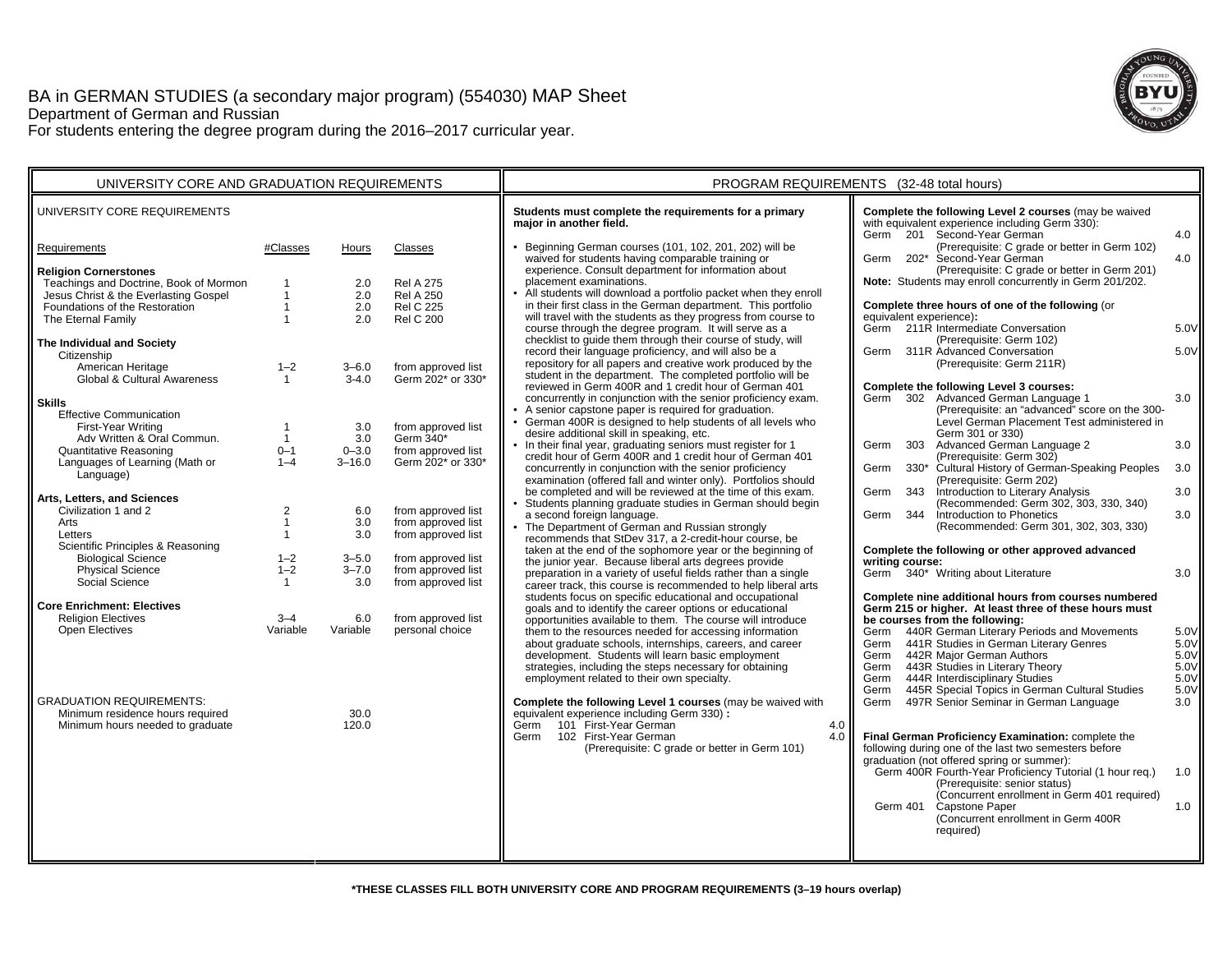# BA in GERMAN STUDIES (a secondary major program) (554030) MAP Sheet Department of German and Russian For students entering the degree program during the 2016–2017 curricular year.



| UNIVERSITY CORE AND GRADUATION REQUIREMENTS                                                                                                                                                                                                                                                                                                                                                                                                                                                                                                                                                                                                                                                                                                                                                                                                             |                                                                                                                                                                                                                  |                                                                                                                                                                                       |                                                                                                                                                                                                                                                                                                                                                                                    | PROGRAM REQUIREMENTS (32-48 total hours)                                                                                                                                                                                                                                                                                                                                                                                                                                                                                                                                                                                                                                                                                                                                                                                                                                                                                                                                                                                                                                                                                                                                                                                                                                                                                                                                                                                                                                                                                                                                                                                                                                                                                                                                                                                                                                                                                                                                                                                                                                                                                                                                                                                                                                                                                                                                                                                                                        |                                                                                                                                                                                                                                                                                                                                                                                                                                                                                                                                                                                                                                                                                                                                                                                                                                                                                                                                                                                                                                                                                                                                                                                                                                                                                                                                                                                                                                                                                                                                                                                                                                                                                                                                                                                                                                                                                                                    |  |
|---------------------------------------------------------------------------------------------------------------------------------------------------------------------------------------------------------------------------------------------------------------------------------------------------------------------------------------------------------------------------------------------------------------------------------------------------------------------------------------------------------------------------------------------------------------------------------------------------------------------------------------------------------------------------------------------------------------------------------------------------------------------------------------------------------------------------------------------------------|------------------------------------------------------------------------------------------------------------------------------------------------------------------------------------------------------------------|---------------------------------------------------------------------------------------------------------------------------------------------------------------------------------------|------------------------------------------------------------------------------------------------------------------------------------------------------------------------------------------------------------------------------------------------------------------------------------------------------------------------------------------------------------------------------------|-----------------------------------------------------------------------------------------------------------------------------------------------------------------------------------------------------------------------------------------------------------------------------------------------------------------------------------------------------------------------------------------------------------------------------------------------------------------------------------------------------------------------------------------------------------------------------------------------------------------------------------------------------------------------------------------------------------------------------------------------------------------------------------------------------------------------------------------------------------------------------------------------------------------------------------------------------------------------------------------------------------------------------------------------------------------------------------------------------------------------------------------------------------------------------------------------------------------------------------------------------------------------------------------------------------------------------------------------------------------------------------------------------------------------------------------------------------------------------------------------------------------------------------------------------------------------------------------------------------------------------------------------------------------------------------------------------------------------------------------------------------------------------------------------------------------------------------------------------------------------------------------------------------------------------------------------------------------------------------------------------------------------------------------------------------------------------------------------------------------------------------------------------------------------------------------------------------------------------------------------------------------------------------------------------------------------------------------------------------------------------------------------------------------------------------------------------------------|--------------------------------------------------------------------------------------------------------------------------------------------------------------------------------------------------------------------------------------------------------------------------------------------------------------------------------------------------------------------------------------------------------------------------------------------------------------------------------------------------------------------------------------------------------------------------------------------------------------------------------------------------------------------------------------------------------------------------------------------------------------------------------------------------------------------------------------------------------------------------------------------------------------------------------------------------------------------------------------------------------------------------------------------------------------------------------------------------------------------------------------------------------------------------------------------------------------------------------------------------------------------------------------------------------------------------------------------------------------------------------------------------------------------------------------------------------------------------------------------------------------------------------------------------------------------------------------------------------------------------------------------------------------------------------------------------------------------------------------------------------------------------------------------------------------------------------------------------------------------------------------------------------------------|--|
| UNIVERSITY CORE REQUIREMENTS                                                                                                                                                                                                                                                                                                                                                                                                                                                                                                                                                                                                                                                                                                                                                                                                                            |                                                                                                                                                                                                                  |                                                                                                                                                                                       |                                                                                                                                                                                                                                                                                                                                                                                    | Students must complete the requirements for a primary<br>maior in another field.                                                                                                                                                                                                                                                                                                                                                                                                                                                                                                                                                                                                                                                                                                                                                                                                                                                                                                                                                                                                                                                                                                                                                                                                                                                                                                                                                                                                                                                                                                                                                                                                                                                                                                                                                                                                                                                                                                                                                                                                                                                                                                                                                                                                                                                                                                                                                                                | Complete the following Level 2 courses (may be waived<br>with equivalent experience including Germ 330):                                                                                                                                                                                                                                                                                                                                                                                                                                                                                                                                                                                                                                                                                                                                                                                                                                                                                                                                                                                                                                                                                                                                                                                                                                                                                                                                                                                                                                                                                                                                                                                                                                                                                                                                                                                                           |  |
| Requirements                                                                                                                                                                                                                                                                                                                                                                                                                                                                                                                                                                                                                                                                                                                                                                                                                                            | #Classes                                                                                                                                                                                                         | Hours                                                                                                                                                                                 | Classes                                                                                                                                                                                                                                                                                                                                                                            | Beginning German courses (101, 102, 201, 202) will be                                                                                                                                                                                                                                                                                                                                                                                                                                                                                                                                                                                                                                                                                                                                                                                                                                                                                                                                                                                                                                                                                                                                                                                                                                                                                                                                                                                                                                                                                                                                                                                                                                                                                                                                                                                                                                                                                                                                                                                                                                                                                                                                                                                                                                                                                                                                                                                                           | (Prerequisite: C grade or better in Germ 102)                                                                                                                                                                                                                                                                                                                                                                                                                                                                                                                                                                                                                                                                                                                                                                                                                                                                                                                                                                                                                                                                                                                                                                                                                                                                                                                                                                                                                                                                                                                                                                                                                                                                                                                                                                                                                                                                      |  |
| <b>Religion Cornerstones</b><br>Teachings and Doctrine, Book of Mormon<br>Jesus Christ & the Everlasting Gospel<br>Foundations of the Restoration<br>The Eternal Family<br>The Individual and Society<br>Citizenship<br>American Heritage<br>Global & Cultural Awareness<br><b>Skills</b><br><b>Effective Communication</b><br><b>First-Year Writing</b><br>Adv Written & Oral Commun.<br>Quantitative Reasoning<br>Languages of Learning (Math or<br>Language)<br>Arts, Letters, and Sciences<br>Civilization 1 and 2<br>Arts<br>Letters<br>Scientific Principles & Reasoning<br><b>Biological Science</b><br><b>Physical Science</b><br>Social Science<br><b>Core Enrichment: Electives</b><br><b>Religion Electives</b><br>Open Electives<br><b>GRADUATION REQUIREMENTS:</b><br>Minimum residence hours required<br>Minimum hours needed to graduate | $\mathbf{1}$<br>$\mathbf{1}$<br>$\overline{1}$<br>$1 - 2$<br>$\mathbf{1}$<br>$\mathbf{1}$<br>$0 - 1$<br>$1 - 4$<br>$\overline{2}$<br>$\overline{1}$<br>$1 - 2$<br>$1 - 2$<br>$\mathbf{1}$<br>$3 - 4$<br>Variable | 2.0<br>2.0<br>2.0<br>2.0<br>$3 - 6.0$<br>$3 - 4.0$<br>3.0<br>3.0<br>$0 - 3.0$<br>$3 - 16.0$<br>6.0<br>3.0<br>3.0<br>$3 - 5.0$<br>$3 - 7.0$<br>3.0<br>6.0<br>Variable<br>30.0<br>120.0 | <b>Rel A 275</b><br><b>Rel A 250</b><br><b>Rel C 225</b><br><b>Rel C 200</b><br>from approved list<br>Germ 202* or 330*<br>from approved list<br>Germ 340*<br>from approved list<br>Germ 202* or 330*<br>from approved list<br>from approved list<br>from approved list<br>from approved list<br>from approved list<br>from approved list<br>from approved list<br>personal choice | waived for students having comparable training or<br>experience. Consult department for information about<br>placement examinations.<br>All students will download a portfolio packet when they enroll<br>in their first class in the German department. This portfolio<br>will travel with the students as they progress from course to<br>course through the degree program. It will serve as a<br>checklist to quide them through their course of study, will<br>record their language proficiency, and will also be a<br>repository for all papers and creative work produced by the<br>student in the department. The completed portfolio will be<br>reviewed in Germ 400R and 1 credit hour of German 401<br>concurrently in conjunction with the senior proficiency exam.<br>A senior capstone paper is required for graduation.<br>• German 400R is designed to help students of all levels who<br>desire additional skill in speaking, etc.<br>• In their final year, graduating seniors must register for 1<br>credit hour of Germ 400R and 1 credit hour of German 401<br>concurrently in conjunction with the senior proficiency<br>examination (offered fall and winter only). Portfolios should<br>be completed and will be reviewed at the time of this exam.<br>Students planning graduate studies in German should begin<br>a second foreign language.<br>• The Department of German and Russian strongly<br>recommends that StDev 317, a 2-credit-hour course, be<br>taken at the end of the sophomore year or the beginning of<br>the junior year. Because liberal arts degrees provide<br>preparation in a variety of useful fields rather than a single<br>career track, this course is recommended to help liberal arts<br>students focus on specific educational and occupational<br>goals and to identify the career options or educational<br>opportunities available to them. The course will introduce<br>them to the resources needed for accessing information<br>about graduate schools, internships, careers, and career<br>development. Students will learn basic employment<br>strategies, including the steps necessary for obtaining<br>employment related to their own specialty.<br>Complete the following Level 1 courses (may be waived with<br>equivalent experience including Germ 330):<br>Germ 101 First-Year German<br>4.0<br>102 First-Year German<br>4.0<br>Germ<br>(Prerequisite: C grade or better in Germ 101) | Germ 201 Second-Year German<br>4.0<br>202* Second-Year German<br>4.0<br>Germ<br>(Prerequisite: C grade or better in Germ 201)<br>Note: Students may enroll concurrently in Germ 201/202.<br>Complete three hours of one of the following (or<br>equivalent experience):<br>Germ 211R Intermediate Conversation<br>5.0V<br>(Prerequisite: Germ 102)<br>Germ 311R Advanced Conversation<br>5.0V<br>(Prerequisite: Germ 211R)<br>Complete the following Level 3 courses:<br>Germ 302 Advanced German Language 1<br>3.0<br>(Prerequisite: an "advanced" score on the 300-<br>Level German Placement Test administered in<br>Germ 301 or 330)<br>303 Advanced German Language 2<br>3.0<br>Germ<br>(Prerequisite: Germ 302)<br>330* Cultural History of German-Speaking Peoples<br>3.0<br>Germ<br>(Prerequisite: Germ 202)<br>Introduction to Literary Analysis<br>343<br>3.0<br>Germ<br>(Recommended: Germ 302, 303, 330, 340)<br>Germ 344 Introduction to Phonetics<br>3.0<br>(Recommended: Germ 301, 302, 303, 330)<br>Complete the following or other approved advanced<br>writing course:<br>Germ 340* Writing about Literature<br>3.0<br>Complete nine additional hours from courses numbered<br>Germ 215 or higher. At least three of these hours must<br>be courses from the following:<br>Germ 440R German Literary Periods and Movements<br>5.0V<br>Germ 441R Studies in German Literary Genres<br>5.0V<br>Germ 442R Major German Authors<br>5.0V<br>Germ 443R Studies in Literary Theory<br>5.0V<br>444R Interdisciplinary Studies<br>5.0V<br>Germ<br>445R Special Topics in German Cultural Studies<br>5.0V<br>Germ<br>497R Senior Seminar in German Language<br>3.0<br>Germ<br>Final German Proficiency Examination: complete the<br>following during one of the last two semesters before<br>graduation (not offered spring or summer):<br>Germ 400R Fourth-Year Proficiency Tutorial (1 hour req.)<br>1.0 |  |
|                                                                                                                                                                                                                                                                                                                                                                                                                                                                                                                                                                                                                                                                                                                                                                                                                                                         |                                                                                                                                                                                                                  |                                                                                                                                                                                       |                                                                                                                                                                                                                                                                                                                                                                                    |                                                                                                                                                                                                                                                                                                                                                                                                                                                                                                                                                                                                                                                                                                                                                                                                                                                                                                                                                                                                                                                                                                                                                                                                                                                                                                                                                                                                                                                                                                                                                                                                                                                                                                                                                                                                                                                                                                                                                                                                                                                                                                                                                                                                                                                                                                                                                                                                                                                                 | (Prerequisite: senior status)<br>(Concurrent enrollment in Germ 401 required)<br>Capstone Paper<br>Germ 401<br>1.0<br>(Concurrent enrollment in Germ 400R<br>required)                                                                                                                                                                                                                                                                                                                                                                                                                                                                                                                                                                                                                                                                                                                                                                                                                                                                                                                                                                                                                                                                                                                                                                                                                                                                                                                                                                                                                                                                                                                                                                                                                                                                                                                                             |  |
|                                                                                                                                                                                                                                                                                                                                                                                                                                                                                                                                                                                                                                                                                                                                                                                                                                                         |                                                                                                                                                                                                                  |                                                                                                                                                                                       |                                                                                                                                                                                                                                                                                                                                                                                    |                                                                                                                                                                                                                                                                                                                                                                                                                                                                                                                                                                                                                                                                                                                                                                                                                                                                                                                                                                                                                                                                                                                                                                                                                                                                                                                                                                                                                                                                                                                                                                                                                                                                                                                                                                                                                                                                                                                                                                                                                                                                                                                                                                                                                                                                                                                                                                                                                                                                 |                                                                                                                                                                                                                                                                                                                                                                                                                                                                                                                                                                                                                                                                                                                                                                                                                                                                                                                                                                                                                                                                                                                                                                                                                                                                                                                                                                                                                                                                                                                                                                                                                                                                                                                                                                                                                                                                                                                    |  |